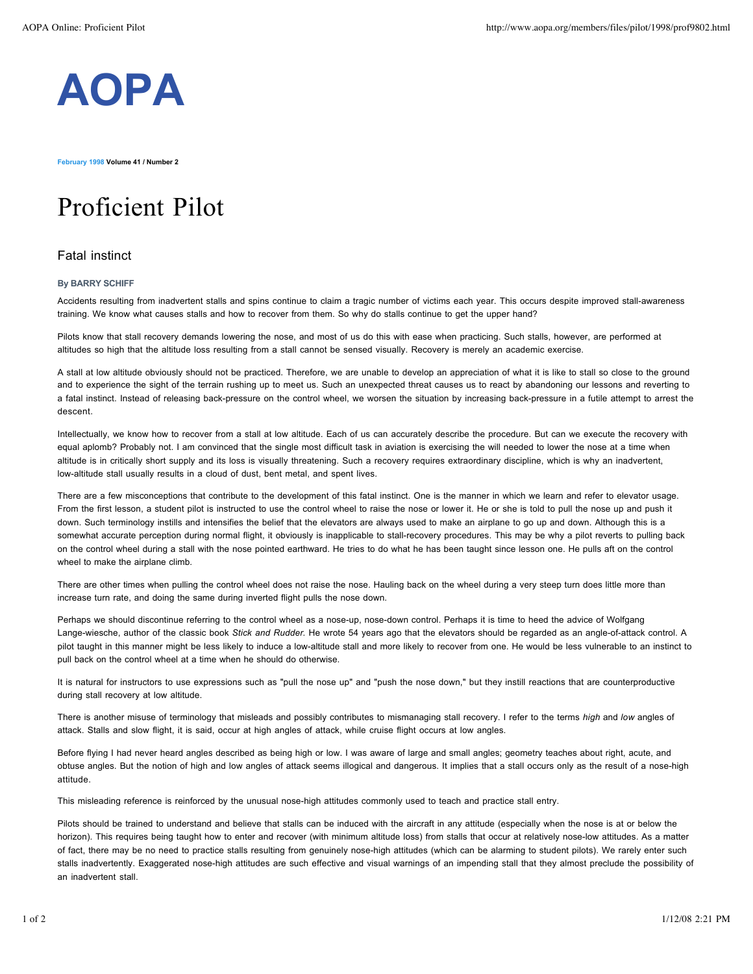

**February 1998 Volume 41 / Number 2**

## Proficient Pilot

## Fatal instinct

## **By BARRY SCHIFF**

Accidents resulting from inadvertent stalls and spins continue to claim a tragic number of victims each year. This occurs despite improved stall-awareness training. We know what causes stalls and how to recover from them. So why do stalls continue to get the upper hand?

Pilots know that stall recovery demands lowering the nose, and most of us do this with ease when practicing. Such stalls, however, are performed at altitudes so high that the altitude loss resulting from a stall cannot be sensed visually. Recovery is merely an academic exercise.

A stall at low altitude obviously should not be practiced. Therefore, we are unable to develop an appreciation of what it is like to stall so close to the ground and to experience the sight of the terrain rushing up to meet us. Such an unexpected threat causes us to react by abandoning our lessons and reverting to a fatal instinct. Instead of releasing back-pressure on the control wheel, we worsen the situation by increasing back-pressure in a futile attempt to arrest the descent.

Intellectually, we know how to recover from a stall at low altitude. Each of us can accurately describe the procedure. But can we execute the recovery with equal aplomb? Probably not. I am convinced that the single most difficult task in aviation is exercising the will needed to lower the nose at a time when altitude is in critically short supply and its loss is visually threatening. Such a recovery requires extraordinary discipline, which is why an inadvertent, low-altitude stall usually results in a cloud of dust, bent metal, and spent lives.

There are a few misconceptions that contribute to the development of this fatal instinct. One is the manner in which we learn and refer to elevator usage. From the first lesson, a student pilot is instructed to use the control wheel to raise the nose or lower it. He or she is told to pull the nose up and push it down. Such terminology instills and intensifies the belief that the elevators are always used to make an airplane to go up and down. Although this is a somewhat accurate perception during normal flight, it obviously is inapplicable to stall-recovery procedures. This may be why a pilot reverts to pulling back on the control wheel during a stall with the nose pointed earthward. He tries to do what he has been taught since lesson one. He pulls aft on the control wheel to make the airplane climb.

There are other times when pulling the control wheel does not raise the nose. Hauling back on the wheel during a very steep turn does little more than increase turn rate, and doing the same during inverted flight pulls the nose down.

Perhaps we should discontinue referring to the control wheel as a nose-up, nose-down control. Perhaps it is time to heed the advice of Wolfgang Lange-wiesche, author of the classic book *Stick and Rudder.* He wrote 54 years ago that the elevators should be regarded as an angle-of-attack control. A pilot taught in this manner might be less likely to induce a low-altitude stall and more likely to recover from one. He would be less vulnerable to an instinct to pull back on the control wheel at a time when he should do otherwise.

It is natural for instructors to use expressions such as "pull the nose up" and "push the nose down," but they instill reactions that are counterproductive during stall recovery at low altitude.

There is another misuse of terminology that misleads and possibly contributes to mismanaging stall recovery. I refer to the terms *high* and *low* angles of attack. Stalls and slow flight, it is said, occur at high angles of attack, while cruise flight occurs at low angles.

Before flying I had never heard angles described as being high or low. I was aware of large and small angles; geometry teaches about right, acute, and obtuse angles. But the notion of high and low angles of attack seems illogical and dangerous. It implies that a stall occurs only as the result of a nose-high attitude.

This misleading reference is reinforced by the unusual nose-high attitudes commonly used to teach and practice stall entry.

Pilots should be trained to understand and believe that stalls can be induced with the aircraft in any attitude (especially when the nose is at or below the horizon). This requires being taught how to enter and recover (with minimum altitude loss) from stalls that occur at relatively nose-low attitudes. As a matter of fact, there may be no need to practice stalls resulting from genuinely nose-high attitudes (which can be alarming to student pilots). We rarely enter such stalls inadvertently. Exaggerated nose-high attitudes are such effective and visual warnings of an impending stall that they almost preclude the possibility of an inadvertent stall.